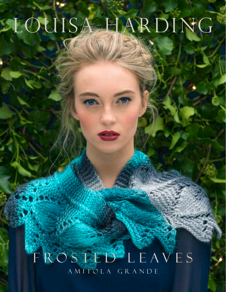# LOUISA HARDING

## A M I T O L A G R A N D E FROSTED<sup>2</sup>LEAVES